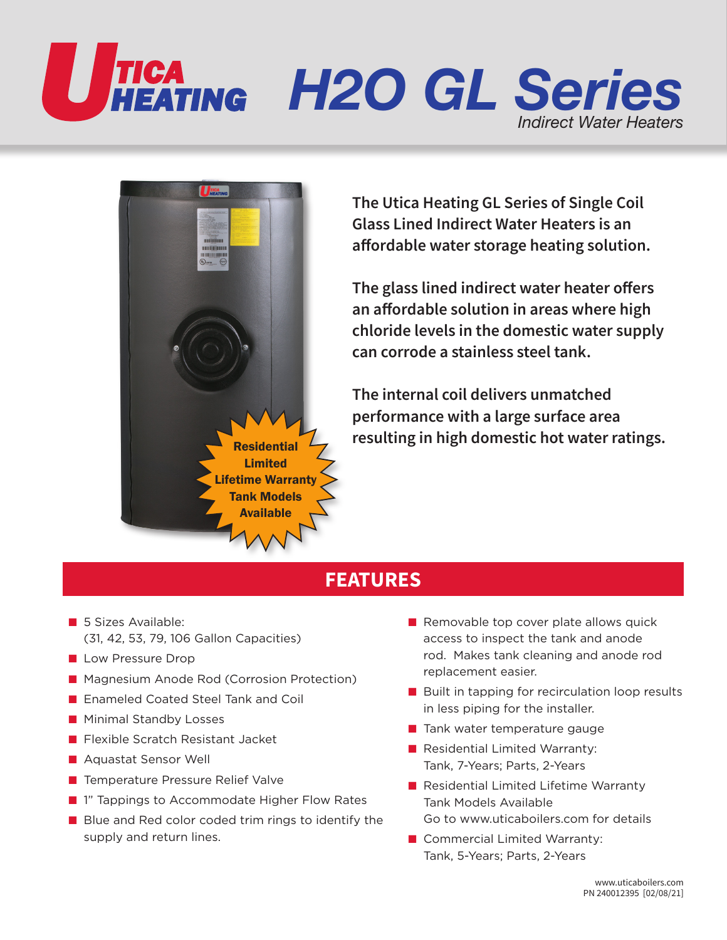



**The Utica Heating GL Series of Single Coil Glass Lined Indirect Water Heaters is an affordable water storage heating solution.**

**The glass lined indirect water heater offers an affordable solution in areas where high chloride levels in the domestic water supply can corrode a stainless steel tank.** 

**The internal coil delivers unmatched performance with a large surface area resulting in high domestic hot water ratings.**

## **FEATURES**

- 5 Sizes Available: (31, 42, 53, 79, 106 Gallon Capacities)
- Low Pressure Drop
- Magnesium Anode Rod (Corrosion Protection)
- Enameled Coated Steel Tank and Coil
- Minimal Standby Losses
- Flexible Scratch Resistant Jacket
- Aquastat Sensor Well
- Temperature Pressure Relief Valve
- 1" Tappings to Accommodate Higher Flow Rates
- Blue and Red color coded trim rings to identify the supply and return lines.
- Removable top cover plate allows quick access to inspect the tank and anode rod. Makes tank cleaning and anode rod replacement easier.
- Built in tapping for recirculation loop results in less piping for the installer.
- Tank water temperature gauge
- Residential Limited Warranty: Tank, 7-Years; Parts, 2-Years
- Residential Limited Lifetime Warranty Tank Models Available Go to www.uticaboilers.com for details
- Commercial Limited Warranty: Tank, 5-Years; Parts, 2-Years